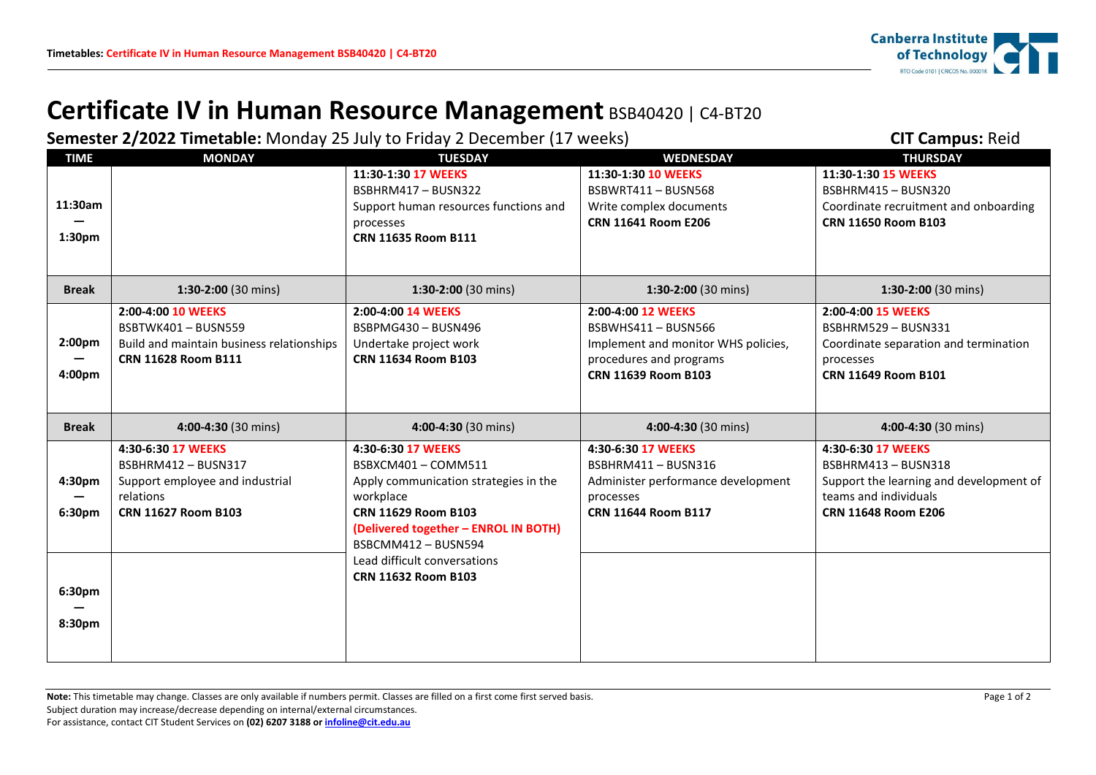

## **Certificate IV in Human Resource Management** BSB40420 | C4-BT20

**Semester 2/2022 Timetable:** Monday 25 July to Friday 2 December (17 weeks) **CIT Campus:** Reid

| <b>TIME</b>  | <b>MONDAY</b>                             | <b>TUESDAY</b>                        | <b>WEDNESDAY</b>                               | <b>THURSDAY</b>                         |
|--------------|-------------------------------------------|---------------------------------------|------------------------------------------------|-----------------------------------------|
|              |                                           | 11:30-1:30 17 WEEKS                   | 11:30-1:30 10 WEEKS                            | 11:30-1:30 15 WEEKS                     |
|              |                                           | BSBHRM417-BUSN322                     | BSBWRT411-BUSN568                              | BSBHRM415-BUSN320                       |
| 11:30am      |                                           | Support human resources functions and | Write complex documents                        | Coordinate recruitment and onboarding   |
|              |                                           | processes                             | CRN 11641 Room E206                            | <b>CRN 11650 Room B103</b>              |
| 1:30pm       |                                           | CRN 11635 Room B111                   |                                                |                                         |
|              |                                           |                                       |                                                |                                         |
| <b>Break</b> | 1:30-2:00 (30 mins)                       | 1:30-2:00 (30 mins)                   | 1:30-2:00 (30 mins)                            | 1:30-2:00 (30 mins)                     |
|              |                                           |                                       |                                                |                                         |
|              | 2:00-4:00 10 WEEKS                        | 2:00-4:00 14 WEEKS                    | 2:00-4:00 12 WEEKS                             | 2:00-4:00 15 WEEKS                      |
|              | BSBTWK401-BUSN559                         | BSBPMG430-BUSN496                     | BSBWHS411 - BUSN566                            | BSBHRM529-BUSN331                       |
| 2:00pm       | Build and maintain business relationships | Undertake project work                | Implement and monitor WHS policies,            | Coordinate separation and termination   |
| 4:00pm       | <b>CRN 11628 Room B111</b>                | CRN 11634 Room B103                   | procedures and programs<br>CRN 11639 Room B103 | processes<br>CRN 11649 Room B101        |
|              |                                           |                                       |                                                |                                         |
|              |                                           |                                       |                                                |                                         |
|              |                                           |                                       |                                                |                                         |
| <b>Break</b> | 4:00-4:30 (30 mins)                       | 4:00-4:30 (30 mins)                   | 4:00-4:30 (30 mins)                            | 4:00-4:30 (30 mins)                     |
|              | 4:30-6:30 17 WEEKS                        | 4:30-6:30 17 WEEKS                    | 4:30-6:30 17 WEEKS                             | 4:30-6:30 17 WEEKS                      |
|              | <b>BSBHRM412 - BUSN317</b>                | BSBXCM401-COMM511                     | BSBHRM411-BUSN316                              | BSBHRM413-BUSN318                       |
| 4:30pm       | Support employee and industrial           | Apply communication strategies in the | Administer performance development             | Support the learning and development of |
|              | relations                                 | workplace                             | processes                                      | teams and individuals                   |
| 6:30pm       | <b>CRN 11627 Room B103</b>                | CRN 11629 Room B103                   | <b>CRN 11644 Room B117</b>                     | <b>CRN 11648 Room E206</b>              |
|              |                                           | (Delivered together - ENROL IN BOTH)  |                                                |                                         |
|              |                                           | BSBCMM412-BUSN594                     |                                                |                                         |
|              |                                           | Lead difficult conversations          |                                                |                                         |
|              |                                           | <b>CRN 11632 Room B103</b>            |                                                |                                         |
| 6:30pm       |                                           |                                       |                                                |                                         |
|              |                                           |                                       |                                                |                                         |
| 8:30pm       |                                           |                                       |                                                |                                         |

Note: This timetable may change. Classes are only available if numbers permit. Classes are filled on a first come first served basis. Page 1 of 2 Subject duration may increase/decrease depending on internal/external circumstances. For assistance, contact CIT Student Services on **(02) 6207 3188 o[r infoline@cit.edu.au](mailto:infoline@cit.edu.au)**